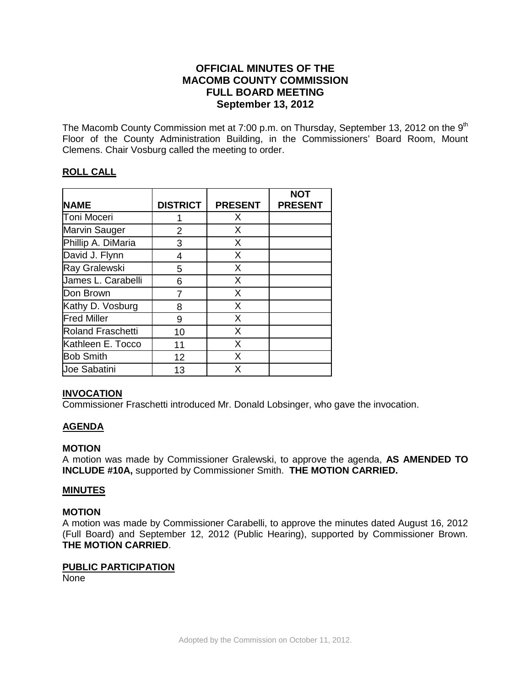# **OFFICIAL MINUTES OF THE MACOMB COUNTY COMMISSION FULL BOARD MEETING September 13, 2012**

The Macomb County Commission met at 7:00 p.m. on Thursday, September 13, 2012 on the  $9<sup>th</sup>$ Floor of the County Administration Building, in the Commissioners' Board Room, Mount Clemens. Chair Vosburg called the meeting to order.

# **ROLL CALL**

|                          |                 |                | <b>NOT</b>     |
|--------------------------|-----------------|----------------|----------------|
| <b>NAME</b>              | <b>DISTRICT</b> | <b>PRESENT</b> | <b>PRESENT</b> |
| <b>Toni Moceri</b>       |                 | X              |                |
| Marvin Sauger            | 2               | X              |                |
| Phillip A. DiMaria       | 3               | X              |                |
| David J. Flynn           | 4               | X              |                |
| Ray Gralewski            | 5               | X              |                |
| James L. Carabelli       | 6               | X              |                |
| Don Brown                | 7               | X              |                |
| Kathy D. Vosburg         | 8               | X              |                |
| <b>Fred Miller</b>       | 9               | X              |                |
| <b>Roland Fraschetti</b> | 10              | X              |                |
| Kathleen E. Tocco        | 11              | X              |                |
| <b>Bob Smith</b>         | 12              | X              |                |
| <b>Joe Sabatini</b>      | 13              | X              |                |

## **INVOCATION**

Commissioner Fraschetti introduced Mr. Donald Lobsinger, who gave the invocation.

# **AGENDA**

## **MOTION**

A motion was made by Commissioner Gralewski, to approve the agenda, **AS AMENDED TO INCLUDE #10A,** supported by Commissioner Smith. **THE MOTION CARRIED.** 

## **MINUTES**

## **MOTION**

A motion was made by Commissioner Carabelli, to approve the minutes dated August 16, 2012 (Full Board) and September 12, 2012 (Public Hearing), supported by Commissioner Brown. **THE MOTION CARRIED**.

## **PUBLIC PARTICIPATION**

None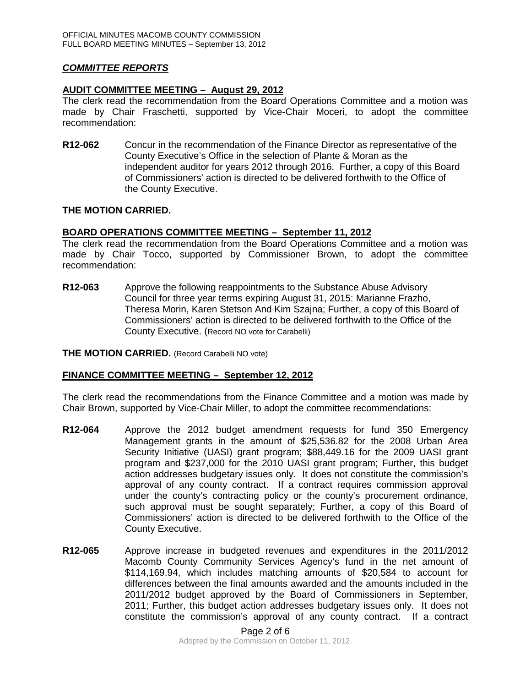# *COMMITTEE REPORTS*

## **AUDIT COMMITTEE MEETING – August 29, 2012**

The clerk read the recommendation from the Board Operations Committee and a motion was made by Chair Fraschetti, supported by Vice-Chair Moceri, to adopt the committee recommendation:

**R12-062** Concur in the recommendation of the Finance Director as representative of the County Executive's Office in the selection of Plante & Moran as the independent auditor for years 2012 through 2016. Further, a copy of this Board of Commissioners' action is directed to be delivered forthwith to the Office of the County Executive.

## **THE MOTION CARRIED.**

# **BOARD OPERATIONS COMMITTEE MEETING – September 11, 2012**

The clerk read the recommendation from the Board Operations Committee and a motion was made by Chair Tocco, supported by Commissioner Brown, to adopt the committee recommendation:

**R12-063** Approve the following reappointments to the Substance Abuse Advisory Council for three year terms expiring August 31, 2015: Marianne Frazho, Theresa Morin, Karen Stetson And Kim Szajna; Further, a copy of this Board of Commissioners' action is directed to be delivered forthwith to the Office of the County Executive. (Record NO vote for Carabelli)

### **THE MOTION CARRIED.** (Record Carabelli NO vote)

## **FINANCE COMMITTEE MEETING – September 12, 2012**

The clerk read the recommendations from the Finance Committee and a motion was made by Chair Brown, supported by Vice-Chair Miller, to adopt the committee recommendations:

- **R12-064** Approve the 2012 budget amendment requests for fund 350 Emergency Management grants in the amount of \$25,536.82 for the 2008 Urban Area Security Initiative (UASI) grant program; \$88,449.16 for the 2009 UASI grant program and \$237,000 for the 2010 UASI grant program; Further, this budget action addresses budgetary issues only. It does not constitute the commission's approval of any county contract. If a contract requires commission approval under the county's contracting policy or the county's procurement ordinance, such approval must be sought separately; Further, a copy of this Board of Commissioners' action is directed to be delivered forthwith to the Office of the County Executive.
- **R12-065** Approve increase in budgeted revenues and expenditures in the 2011/2012 Macomb County Community Services Agency's fund in the net amount of \$114,169.94, which includes matching amounts of \$20,584 to account for differences between the final amounts awarded and the amounts included in the 2011/2012 budget approved by the Board of Commissioners in September, 2011; Further, this budget action addresses budgetary issues only. It does not constitute the commission's approval of any county contract. If a contract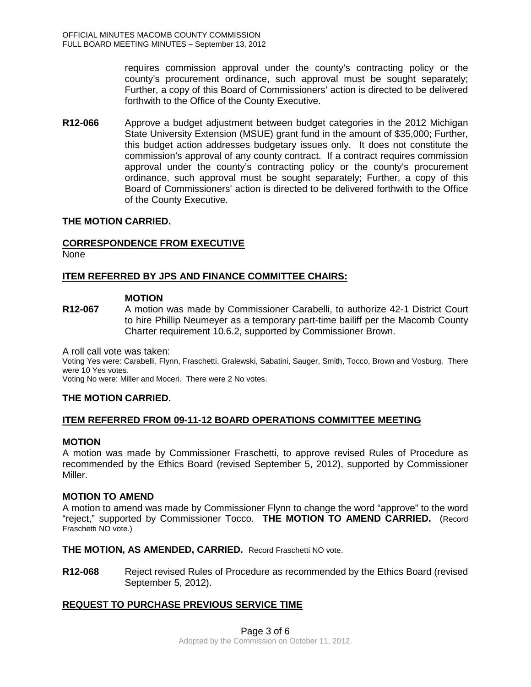requires commission approval under the county's contracting policy or the county's procurement ordinance, such approval must be sought separately; Further, a copy of this Board of Commissioners' action is directed to be delivered forthwith to the Office of the County Executive.

**R12-066** Approve a budget adjustment between budget categories in the 2012 Michigan State University Extension (MSUE) grant fund in the amount of \$35,000; Further, this budget action addresses budgetary issues only. It does not constitute the commission's approval of any county contract. If a contract requires commission approval under the county's contracting policy or the county's procurement ordinance, such approval must be sought separately; Further, a copy of this Board of Commissioners' action is directed to be delivered forthwith to the Office of the County Executive.

## **THE MOTION CARRIED.**

## **CORRESPONDENCE FROM EXECUTIVE**

None

## **ITEM REFERRED BY JPS AND FINANCE COMMITTEE CHAIRS:**

### **MOTION**

**R12-067** A motion was made by Commissioner Carabelli, to authorize 42-1 District Court to hire Phillip Neumeyer as a temporary part-time bailiff per the Macomb County Charter requirement 10.6.2, supported by Commissioner Brown.

A roll call vote was taken:

Voting Yes were: Carabelli, Flynn, Fraschetti, Gralewski, Sabatini, Sauger, Smith, Tocco, Brown and Vosburg. There were 10 Yes votes.

Voting No were: Miller and Moceri. There were 2 No votes.

## **THE MOTION CARRIED.**

#### **ITEM REFERRED FROM 09-11-12 BOARD OPERATIONS COMMITTEE MEETING**

#### **MOTION**

A motion was made by Commissioner Fraschetti, to approve revised Rules of Procedure as recommended by the Ethics Board (revised September 5, 2012), supported by Commissioner Miller.

#### **MOTION TO AMEND**

A motion to amend was made by Commissioner Flynn to change the word "approve" to the word "reject," supported by Commissioner Tocco. **THE MOTION TO AMEND CARRIED.** (Record Fraschetti NO vote.)

**THE MOTION, AS AMENDED, CARRIED.** Record Fraschetti NO vote.

**R12-068** Reject revised Rules of Procedure as recommended by the Ethics Board (revised September 5, 2012).

## **REQUEST TO PURCHASE PREVIOUS SERVICE TIME**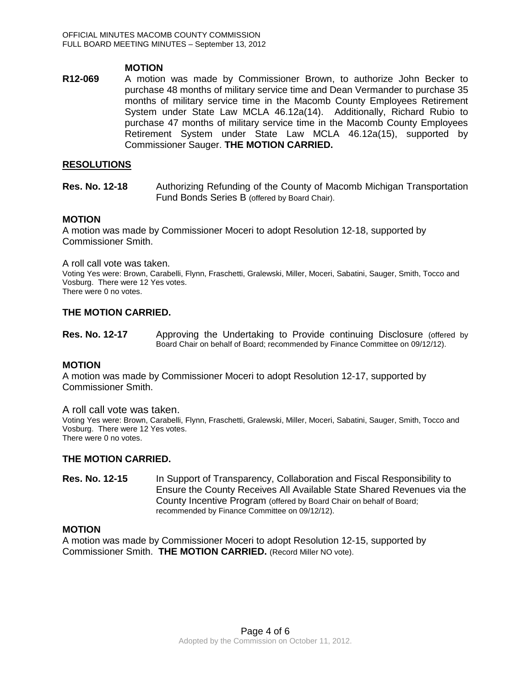### **MOTION**

**R12-069** A motion was made by Commissioner Brown, to authorize John Becker to purchase 48 months of military service time and Dean Vermander to purchase 35 months of military service time in the Macomb County Employees Retirement System under State Law MCLA 46.12a(14). Additionally, Richard Rubio to purchase 47 months of military service time in the Macomb County Employees Retirement System under State Law MCLA 46.12a(15), supported by Commissioner Sauger. **THE MOTION CARRIED.** 

### **RESOLUTIONS**

**Res. No. 12-18** •• Authorizing Refunding of the County of Macomb Michigan Transportation Fund Bonds Series B (offered by Board Chair).

#### **MOTION**

A motion was made by Commissioner Moceri to adopt Resolution 12-18, supported by Commissioner Smith.

A roll call vote was taken.

Voting Yes were: Brown, Carabelli, Flynn, Fraschetti, Gralewski, Miller, Moceri, Sabatini, Sauger, Smith, Tocco and Vosburg. There were 12 Yes votes.

There were 0 no votes.

#### **THE MOTION CARRIED.**

**Res. No. 12-17** Approving the Undertaking to Provide continuing Disclosure (offered by Board Chair on behalf of Board; recommended by Finance Committee on 09/12/12).

#### **MOTION**

A motion was made by Commissioner Moceri to adopt Resolution 12-17, supported by Commissioner Smith.

#### A roll call vote was taken.

Voting Yes were: Brown, Carabelli, Flynn, Fraschetti, Gralewski, Miller, Moceri, Sabatini, Sauger, Smith, Tocco and Vosburg. There were 12 Yes votes. There were 0 no votes.

#### **THE MOTION CARRIED.**

**Res. No. 12-15** In Support of Transparency, Collaboration and Fiscal Responsibility to Ensure the County Receives All Available State Shared Revenues via the County Incentive Program (offered by Board Chair on behalf of Board; recommended by Finance Committee on 09/12/12).

### **MOTION**

A motion was made by Commissioner Moceri to adopt Resolution 12-15, supported by Commissioner Smith. **THE MOTION CARRIED.** (Record Miller NO vote).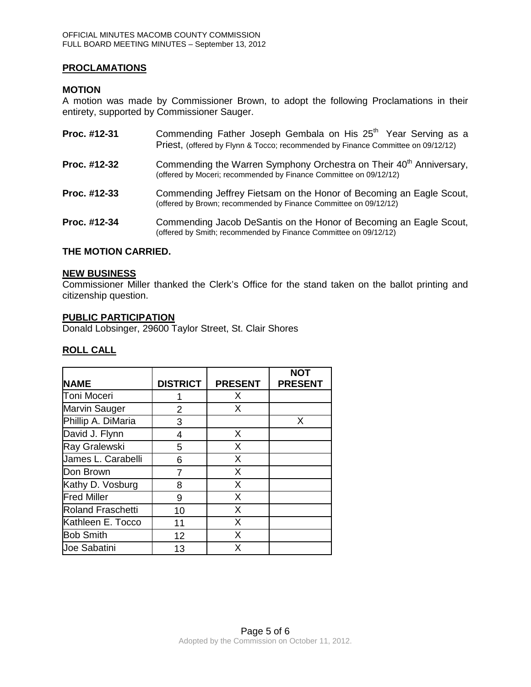# **PROCLAMATIONS**

## **MOTION**

A motion was made by Commissioner Brown, to adopt the following Proclamations in their entirety, supported by Commissioner Sauger.

| Proc. #12-31 | Commending Father Joseph Gembala on His 25 <sup>th</sup> Year Serving as a<br>Priest, (offered by Flynn & Tocco; recommended by Finance Committee on 09/12/12) |
|--------------|----------------------------------------------------------------------------------------------------------------------------------------------------------------|
| Proc. #12-32 | Commending the Warren Symphony Orchestra on Their 40 <sup>th</sup> Anniversary,<br>(offered by Moceri; recommended by Finance Committee on 09/12/12)           |
| Proc. #12-33 | Commending Jeffrey Fietsam on the Honor of Becoming an Eagle Scout,<br>(offered by Brown; recommended by Finance Committee on 09/12/12)                        |
| Proc. #12-34 | Commending Jacob DeSantis on the Honor of Becoming an Eagle Scout,<br>(offered by Smith; recommended by Finance Committee on 09/12/12)                         |

### **THE MOTION CARRIED.**

#### **NEW BUSINESS**

Commissioner Miller thanked the Clerk's Office for the stand taken on the ballot printing and citizenship question.

#### **PUBLIC PARTICIPATION**

Donald Lobsinger, 29600 Taylor Street, St. Clair Shores

## **ROLL CALL**

|                          |                 |                | <b>NOT</b>     |
|--------------------------|-----------------|----------------|----------------|
| <b>NAME</b>              | <b>DISTRICT</b> | <b>PRESENT</b> | <b>PRESENT</b> |
| <b>Toni Moceri</b>       |                 | X              |                |
| <b>Marvin Sauger</b>     | 2               | X              |                |
| Phillip A. DiMaria       | 3               |                | X              |
| David J. Flynn           | 4               | X              |                |
| Ray Gralewski            | 5               | X              |                |
| James L. Carabelli       | 6               | X              |                |
| Don Brown                | 7               | X              |                |
| Kathy D. Vosburg         | 8               | X              |                |
| <b>Fred Miller</b>       | 9               | X              |                |
| <b>Roland Fraschetti</b> | 10              | X              |                |
| Kathleen E. Tocco        | 11              | X              |                |
| <b>Bob Smith</b>         | 12              | X              |                |
| <b>Joe Sabatini</b>      | 13              | X              |                |